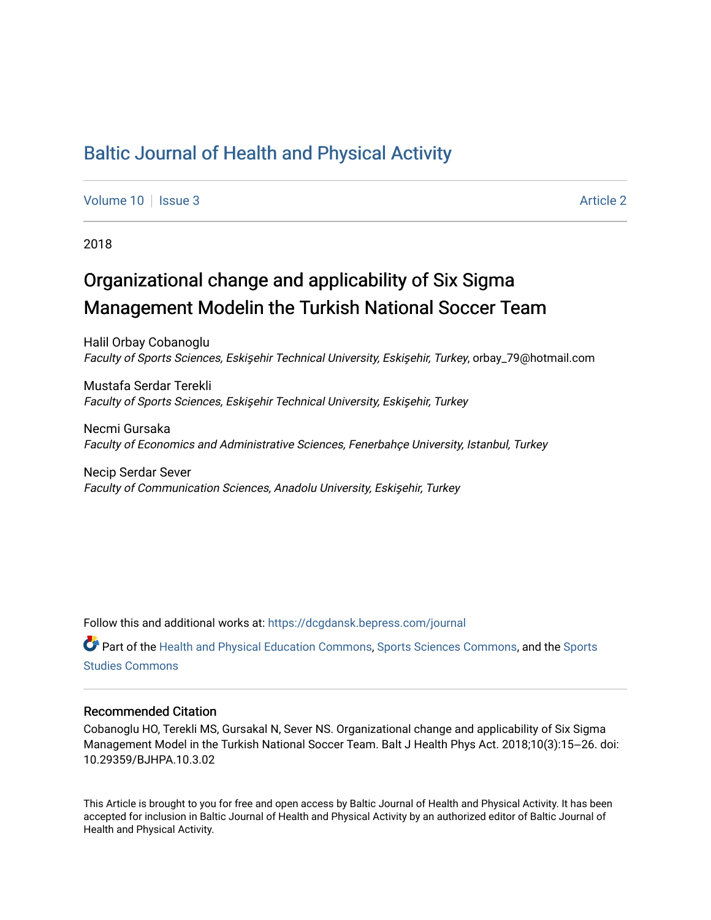## [Baltic Journal of Health and Physical Activity](https://dcgdansk.bepress.com/journal)

[Volume 10](https://dcgdansk.bepress.com/journal/vol10) | [Issue 3](https://dcgdansk.bepress.com/journal/vol10/iss3) Article 2

2018

## Organizational change and applicability of Six Sigma Management Modelin the Turkish National Soccer Team

Halil Orbay Cobanoglu Faculty of Sports Sciences, Eskişehir Technical University, Eskişehir, Turkey, orbay\_79@hotmail.com

Mustafa Serdar Terekli Faculty of Sports Sciences, Eskişehir Technical University, Eskişehir, Turkey

Necmi Gursaka Faculty of Economics and Administrative Sciences, Fenerbahçe University, Istanbul, Turkey

Necip Serdar Sever Faculty of Communication Sciences, Anadolu University, Eskişehir, Turkey

Follow this and additional works at: [https://dcgdansk.bepress.com/journal](https://dcgdansk.bepress.com/journal?utm_source=dcgdansk.bepress.com%2Fjournal%2Fvol10%2Fiss3%2F2&utm_medium=PDF&utm_campaign=PDFCoverPages)

Part of the [Health and Physical Education Commons](http://network.bepress.com/hgg/discipline/1327?utm_source=dcgdansk.bepress.com%2Fjournal%2Fvol10%2Fiss3%2F2&utm_medium=PDF&utm_campaign=PDFCoverPages), [Sports Sciences Commons](http://network.bepress.com/hgg/discipline/759?utm_source=dcgdansk.bepress.com%2Fjournal%2Fvol10%2Fiss3%2F2&utm_medium=PDF&utm_campaign=PDFCoverPages), and the [Sports](http://network.bepress.com/hgg/discipline/1198?utm_source=dcgdansk.bepress.com%2Fjournal%2Fvol10%2Fiss3%2F2&utm_medium=PDF&utm_campaign=PDFCoverPages)  [Studies Commons](http://network.bepress.com/hgg/discipline/1198?utm_source=dcgdansk.bepress.com%2Fjournal%2Fvol10%2Fiss3%2F2&utm_medium=PDF&utm_campaign=PDFCoverPages) 

#### Recommended Citation

Cobanoglu HO, Terekli MS, Gursakal N, Sever NS. Organizational change and applicability of Six Sigma Management Model in the Turkish National Soccer Team. Balt J Health Phys Act. 2018;10(3):15–26. doi: 10.29359/BJHPA.10.3.02

This Article is brought to you for free and open access by Baltic Journal of Health and Physical Activity. It has been accepted for inclusion in Baltic Journal of Health and Physical Activity by an authorized editor of Baltic Journal of Health and Physical Activity.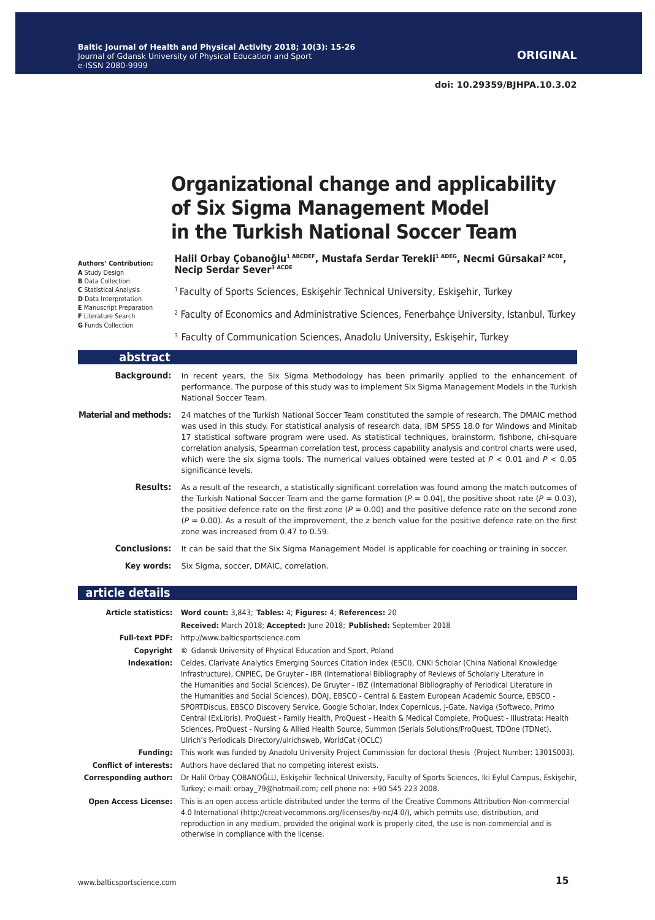# **Organizational change and applicability of Six Sigma Management Model in the Turkish National Soccer Team**

**Authors' Contribution: A** Study Design **B** Data Collection **C** Statistical Analysis **D** Data Interpretation **E** Manuscript Preparation **F** Literature Search **G** Funds Collection

**Halil Orbay Çobanoǧlu1 ABCDEF, Mustafa Serdar Terekli1 ADEG, Necmi Gürsakal2 ACDE, Necip Serdar Sever3 ACDE**

<sup>1</sup> Faculty of Sports Sciences, Eskişehir Technical University, Eskişehir, Turkey

<sup>2</sup> Faculty of Economics and Administrative Sciences, Fenerbahçe University, Istanbul, Turkey

<sup>3</sup> Faculty of Communication Sciences, Anadolu University, Eskişehir, Turkey

| abstract                     |                                                                                                                                                                                                                                                                                                                                                                                                                                                                                                                                                                           |
|------------------------------|---------------------------------------------------------------------------------------------------------------------------------------------------------------------------------------------------------------------------------------------------------------------------------------------------------------------------------------------------------------------------------------------------------------------------------------------------------------------------------------------------------------------------------------------------------------------------|
| <b>Background:</b>           | In recent years, the Six Sigma Methodology has been primarily applied to the enhancement of<br>performance. The purpose of this study was to implement Six Sigma Management Models in the Turkish<br>National Soccer Team.                                                                                                                                                                                                                                                                                                                                                |
| <b>Material and methods:</b> | 24 matches of the Turkish National Soccer Team constituted the sample of research. The DMAIC method<br>was used in this study. For statistical analysis of research data, IBM SPSS 18.0 for Windows and Minitab<br>17 statistical software program were used. As statistical techniques, brainstorm, fishbone, chi-square<br>correlation analysis, Spearman correlation test, process capability analysis and control charts were used,<br>which were the six sigma tools. The numerical values obtained were tested at $P < 0.01$ and $P < 0.05$<br>significance levels. |
| <b>Results:</b>              | As a result of the research, a statistically significant correlation was found among the match outcomes of<br>the Turkish National Soccer Team and the game formation ( $P = 0.04$ ), the positive shoot rate ( $P = 0.03$ ),<br>the positive defence rate on the first zone ( $P = 0.00$ ) and the positive defence rate on the second zone<br>$(P = 0.00)$ . As a result of the improvement, the z bench value for the positive defence rate on the first<br>zone was increased from 0.47 to 0.59.                                                                      |
| Conclusions:                 | It can be said that the Six Sigma Management Model is applicable for coaching or training in soccer.                                                                                                                                                                                                                                                                                                                                                                                                                                                                      |
| Key words:                   | Six Sigma, soccer, DMAIC, correlation.                                                                                                                                                                                                                                                                                                                                                                                                                                                                                                                                    |

#### **article details**

|                               | Article statistics: Word count: 3,843; Tables: 4; Figures: 4; References: 20                                                                                                                                                                                                                                                                                                                                                                                                                                                                                                                                                                                                                                                                                                                                                                                  |  |  |
|-------------------------------|---------------------------------------------------------------------------------------------------------------------------------------------------------------------------------------------------------------------------------------------------------------------------------------------------------------------------------------------------------------------------------------------------------------------------------------------------------------------------------------------------------------------------------------------------------------------------------------------------------------------------------------------------------------------------------------------------------------------------------------------------------------------------------------------------------------------------------------------------------------|--|--|
|                               | Received: March 2018; Accepted: June 2018; Published: September 2018                                                                                                                                                                                                                                                                                                                                                                                                                                                                                                                                                                                                                                                                                                                                                                                          |  |  |
| <b>Full-text PDF:</b>         | http://www.balticsportscience.com                                                                                                                                                                                                                                                                                                                                                                                                                                                                                                                                                                                                                                                                                                                                                                                                                             |  |  |
| Copyright                     | © Gdansk University of Physical Education and Sport, Poland                                                                                                                                                                                                                                                                                                                                                                                                                                                                                                                                                                                                                                                                                                                                                                                                   |  |  |
| Indexation:                   | Celdes, Clarivate Analytics Emerging Sources Citation Index (ESCI), CNKI Scholar (China National Knowledge<br>Infrastructure), CNPIEC, De Gruyter - IBR (International Bibliography of Reviews of Scholarly Literature in<br>the Humanities and Social Sciences), De Gruyter - IBZ (International Bibliography of Periodical Literature in<br>the Humanities and Social Sciences), DOAJ, EBSCO - Central & Eastern European Academic Source, EBSCO -<br>SPORTDiscus, EBSCO Discovery Service, Google Scholar, Index Copernicus, J-Gate, Naviga (Softweco, Primo<br>Central (ExLibris), ProQuest - Family Health, ProQuest - Health & Medical Complete, ProQuest - Illustrata: Health<br>Sciences, ProQuest - Nursing & Allied Health Source, Summon (Serials Solutions/ProQuest, TDOne (TDNet),<br>Ulrich's Periodicals Directory/ulrichsweb, WorldCat (OCLC) |  |  |
| <b>Funding:</b>               | This work was funded by Anadolu University Project Commission for doctoral thesis (Project Number: 13015003).                                                                                                                                                                                                                                                                                                                                                                                                                                                                                                                                                                                                                                                                                                                                                 |  |  |
| <b>Conflict of interests:</b> | Authors have declared that no competing interest exists.                                                                                                                                                                                                                                                                                                                                                                                                                                                                                                                                                                                                                                                                                                                                                                                                      |  |  |
| <b>Corresponding author:</b>  | Dr Halil Orbay ÇOBANOĞLU, Eskişehir Technical University, Faculty of Sports Sciences, Iki Eylul Campus, Eskişehir,<br>Turkey; e-mail: orbay 79@hotmail.com; cell phone no: +90 545 223 2008.                                                                                                                                                                                                                                                                                                                                                                                                                                                                                                                                                                                                                                                                  |  |  |
| <b>Open Access License:</b>   | This is an open access article distributed under the terms of the Creative Commons Attribution-Non-commercial<br>4.0 International (http://creativecommons.org/licenses/by-nc/4.0/), which permits use, distribution, and<br>reproduction in any medium, provided the original work is properly cited, the use is non-commercial and is<br>otherwise in compliance with the license.                                                                                                                                                                                                                                                                                                                                                                                                                                                                          |  |  |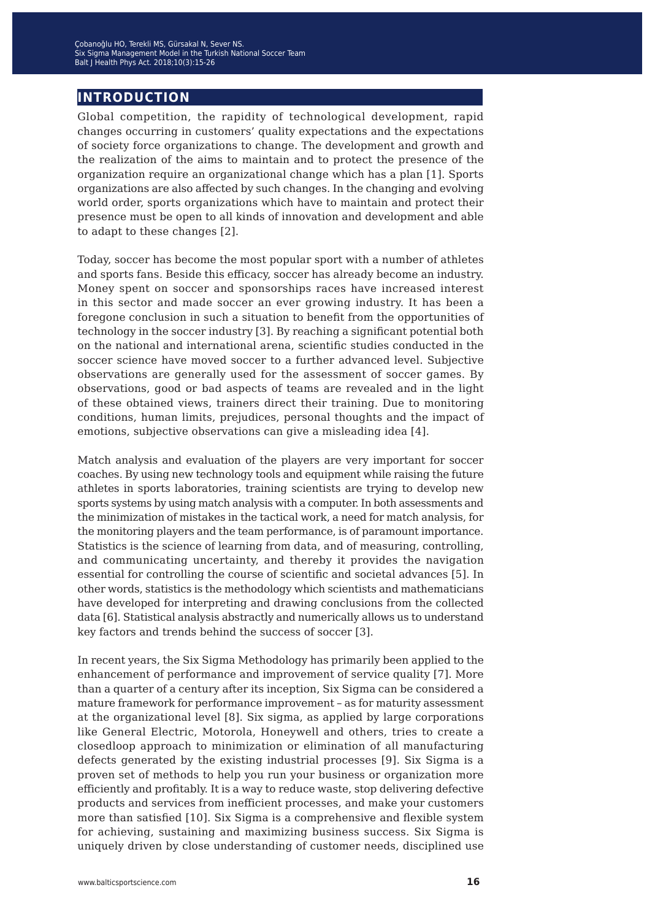## **introduction**

Global competition, the rapidity of technological development, rapid changes occurring in customers' quality expectations and the expectations of society force organizations to change. The development and growth and the realization of the aims to maintain and to protect the presence of the organization require an organizational change which has a plan [1]. Sports organizations are also affected by such changes. In the changing and evolving world order, sports organizations which have to maintain and protect their presence must be open to all kinds of innovation and development and able to adapt to these changes [2].

Today, soccer has become the most popular sport with a number of athletes and sports fans. Beside this efficacy, soccer has already become an industry. Money spent on soccer and sponsorships races have increased interest in this sector and made soccer an ever growing industry. It has been a foregone conclusion in such a situation to benefit from the opportunities of technology in the soccer industry [3]. By reaching a significant potential both on the national and international arena, scientific studies conducted in the soccer science have moved soccer to a further advanced level. Subjective observations are generally used for the assessment of soccer games. By observations, good or bad aspects of teams are revealed and in the light of these obtained views, trainers direct their training. Due to monitoring conditions, human limits, prejudices, personal thoughts and the impact of emotions, subjective observations can give a misleading idea [4].

Match analysis and evaluation of the players are very important for soccer coaches. By using new technology tools and equipment while raising the future athletes in sports laboratories, training scientists are trying to develop new sports systems by using match analysis with a computer. In both assessments and the minimization of mistakes in the tactical work, a need for match analysis, for the monitoring players and the team performance, is of paramount importance. Statistics is the science of learning from data, and of measuring, controlling, and communicating uncertainty, and thereby it provides the navigation essential for controlling the course of scientific and societal advances [5]. In other words, statistics is the methodology which scientists and mathematicians have developed for interpreting and drawing conclusions from the collected data [6]. Statistical analysis abstractly and numerically allows us to understand key factors and trends behind the success of soccer [3].

In recent years, the Six Sigma Methodology has primarily been applied to the enhancement of performance and improvement of service quality [7]. More than a quarter of a century after its inception, Six Sigma can be considered a mature framework for performance improvement – as for maturity assessment at the organizational level [8]. Six sigma, as applied by large corporations like General Electric, Motorola, Honeywell and others, tries to create a closedloop approach to minimization or elimination of all manufacturing defects generated by the existing industrial processes [9]. Six Sigma is a proven set of methods to help you run your business or organization more efficiently and profitably. It is a way to reduce waste, stop delivering defective products and services from inefficient processes, and make your customers more than satisfied [10]. Six Sigma is a comprehensive and flexible system for achieving, sustaining and maximizing business success. Six Sigma is uniquely driven by close understanding of customer needs, disciplined use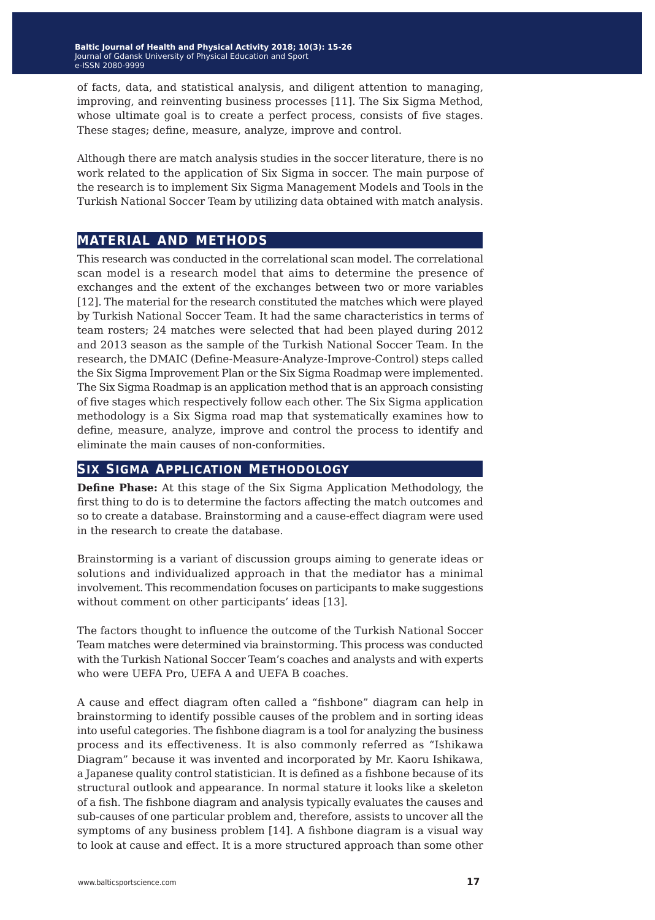of facts, data, and statistical analysis, and diligent attention to managing, improving, and reinventing business processes [11]. The Six Sigma Method, whose ultimate goal is to create a perfect process, consists of five stages. These stages; define, measure, analyze, improve and control.

Although there are match analysis studies in the soccer literature, there is no work related to the application of Six Sigma in soccer. The main purpose of the research is to implement Six Sigma Management Models and Tools in the Turkish National Soccer Team by utilizing data obtained with match analysis.

## **material and methods**

This research was conducted in the correlational scan model. The correlational scan model is a research model that aims to determine the presence of exchanges and the extent of the exchanges between two or more variables [12]. The material for the research constituted the matches which were played by Turkish National Soccer Team. It had the same characteristics in terms of team rosters; 24 matches were selected that had been played during 2012 and 2013 season as the sample of the Turkish National Soccer Team. In the research, the DMAIC (Define-Measure-Analyze-Improve-Control) steps called the Six Sigma Improvement Plan or the Six Sigma Roadmap were implemented. The Six Sigma Roadmap is an application method that is an approach consisting of five stages which respectively follow each other. The Six Sigma application methodology is a Six Sigma road map that systematically examines how to define, measure, analyze, improve and control the process to identify and eliminate the main causes of non-conformities.

#### **six sigma application methodology**

**Define Phase:** At this stage of the Six Sigma Application Methodology, the first thing to do is to determine the factors affecting the match outcomes and so to create a database. Brainstorming and a cause-effect diagram were used in the research to create the database.

Brainstorming is a variant of discussion groups aiming to generate ideas or solutions and individualized approach in that the mediator has a minimal involvement. This recommendation focuses on participants to make suggestions without comment on other participants' ideas [13].

The factors thought to influence the outcome of the Turkish National Soccer Team matches were determined via brainstorming. This process was conducted with the Turkish National Soccer Team's coaches and analysts and with experts who were UEFA Pro, UEFA A and UEFA B coaches.

A cause and effect diagram often called a "fishbone" diagram can help in brainstorming to identify possible causes of the problem and in sorting ideas into useful categories. The fishbone diagram is a tool for analyzing the business process and its effectiveness. It is also commonly referred as "Ishikawa Diagram" because it was invented and incorporated by Mr. Kaoru Ishikawa, a Japanese quality control statistician. It is defined as a fishbone because of its structural outlook and appearance. In normal stature it looks like a skeleton of a fish. The fishbone diagram and analysis typically evaluates the causes and sub-causes of one particular problem and, therefore, assists to uncover all the symptoms of any business problem [14]. A fishbone diagram is a visual way to look at cause and effect. It is a more structured approach than some other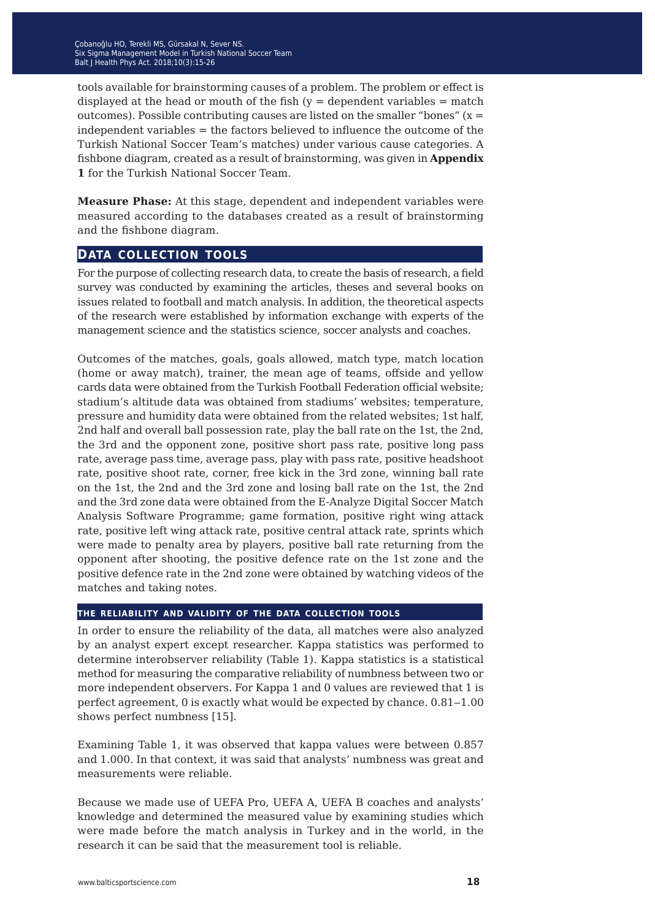tools available for brainstorming causes of a problem. The problem or effect is displayed at the head or mouth of the fish  $(y =$  dependent variables  $=$  match outcomes). Possible contributing causes are listed on the smaller "bones"  $(x =$ independent variables = the factors believed to influence the outcome of the Turkish National Soccer Team's matches) under various cause categories. A fishbone diagram, created as a result of brainstorming, was given in **Appendix 1** for the Turkish National Soccer Team.

**Measure Phase:** At this stage, dependent and independent variables were measured according to the databases created as a result of brainstorming and the fishbone diagram.

### **data collection tools**

For the purpose of collecting research data, to create the basis of research, a field survey was conducted by examining the articles, theses and several books on issues related to football and match analysis. In addition, the theoretical aspects of the research were established by information exchange with experts of the management science and the statistics science, soccer analysts and coaches.

Outcomes of the matches, goals, goals allowed, match type, match location (home or away match), trainer, the mean age of teams, offside and yellow cards data were obtained from the Turkish Football Federation official website; stadium's altitude data was obtained from stadiums' websites; temperature, pressure and humidity data were obtained from the related websites; 1st half, 2nd half and overall ball possession rate, play the ball rate on the 1st, the 2nd, the 3rd and the opponent zone, positive short pass rate, positive long pass rate, average pass time, average pass, play with pass rate, positive headshoot rate, positive shoot rate, corner, free kick in the 3rd zone, winning ball rate on the 1st, the 2nd and the 3rd zone and losing ball rate on the 1st, the 2nd and the 3rd zone data were obtained from the E-Analyze Digital Soccer Match Analysis Software Programme; game formation, positive right wing attack rate, positive left wing attack rate, positive central attack rate, sprints which were made to penalty area by players, positive ball rate returning from the opponent after shooting, the positive defence rate on the 1st zone and the positive defence rate in the 2nd zone were obtained by watching videos of the matches and taking notes.

#### **the reliability and validity of the data collection tools**

In order to ensure the reliability of the data, all matches were also analyzed by an analyst expert except researcher. Kappa statistics was performed to determine interobserver reliability (Table 1). Kappa statistics is a statistical method for measuring the comparative reliability of numbness between two or more independent observers. For Kappa 1 and 0 values are reviewed that 1 is perfect agreement, 0 is exactly what would be expected by chance.  $0.81-1.00$ shows perfect numbness [15].

Examining Table 1, it was observed that kappa values were between 0.857 and 1.000. In that context, it was said that analysts' numbness was great and measurements were reliable.

Because we made use of UEFA Pro, UEFA A, UEFA B coaches and analysts' knowledge and determined the measured value by examining studies which were made before the match analysis in Turkey and in the world, in the research it can be said that the measurement tool is reliable.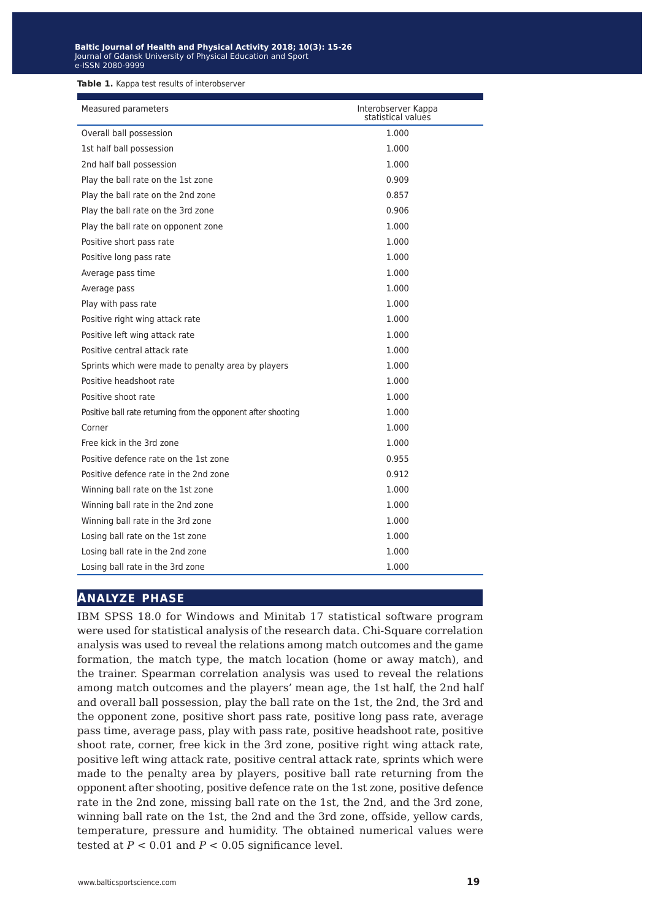**Table 1.** Kappa test results of interobserver

| Measured parameters                                           | Interobserver Kappa<br>statistical values |  |
|---------------------------------------------------------------|-------------------------------------------|--|
| Overall ball possession                                       | 1.000                                     |  |
| 1st half ball possession                                      | 1.000                                     |  |
| 2nd half ball possession                                      | 1.000                                     |  |
| Play the ball rate on the 1st zone                            | 0.909                                     |  |
| Play the ball rate on the 2nd zone                            | 0.857                                     |  |
| Play the ball rate on the 3rd zone                            | 0.906                                     |  |
| Play the ball rate on opponent zone                           | 1.000                                     |  |
| Positive short pass rate                                      | 1.000                                     |  |
| Positive long pass rate                                       | 1.000                                     |  |
| Average pass time                                             | 1.000                                     |  |
| Average pass                                                  | 1.000                                     |  |
| Play with pass rate                                           | 1.000                                     |  |
| Positive right wing attack rate                               | 1.000                                     |  |
| Positive left wing attack rate                                | 1.000                                     |  |
| Positive central attack rate                                  | 1.000                                     |  |
| Sprints which were made to penalty area by players            | 1.000                                     |  |
| Positive headshoot rate                                       | 1.000                                     |  |
| Positive shoot rate                                           | 1.000                                     |  |
| Positive ball rate returning from the opponent after shooting | 1.000                                     |  |
| Corner                                                        | 1.000                                     |  |
| Free kick in the 3rd zone                                     | 1.000                                     |  |
| Positive defence rate on the 1st zone                         | 0.955                                     |  |
| Positive defence rate in the 2nd zone                         | 0.912                                     |  |
| Winning ball rate on the 1st zone                             | 1.000                                     |  |
| Winning ball rate in the 2nd zone                             | 1.000                                     |  |
| Winning ball rate in the 3rd zone                             | 1.000                                     |  |
| Losing ball rate on the 1st zone                              | 1.000                                     |  |
| Losing ball rate in the 2nd zone                              | 1.000                                     |  |
| Losing ball rate in the 3rd zone                              | 1.000                                     |  |

## **analyze phase**

IBM SPSS 18.0 for Windows and Minitab 17 statistical software program were used for statistical analysis of the research data. Chi-Square correlation analysis was used to reveal the relations among match outcomes and the game formation, the match type, the match location (home or away match), and the trainer. Spearman correlation analysis was used to reveal the relations among match outcomes and the players' mean age, the 1st half, the 2nd half and overall ball possession, play the ball rate on the 1st, the 2nd, the 3rd and the opponent zone, positive short pass rate, positive long pass rate, average pass time, average pass, play with pass rate, positive headshoot rate, positive shoot rate, corner, free kick in the 3rd zone, positive right wing attack rate, positive left wing attack rate, positive central attack rate, sprints which were made to the penalty area by players, positive ball rate returning from the opponent after shooting, positive defence rate on the 1st zone, positive defence rate in the 2nd zone, missing ball rate on the 1st, the 2nd, and the 3rd zone, winning ball rate on the 1st, the 2nd and the 3rd zone, offside, yellow cards, temperature, pressure and humidity. The obtained numerical values were tested at  $P < 0.01$  and  $P < 0.05$  significance level.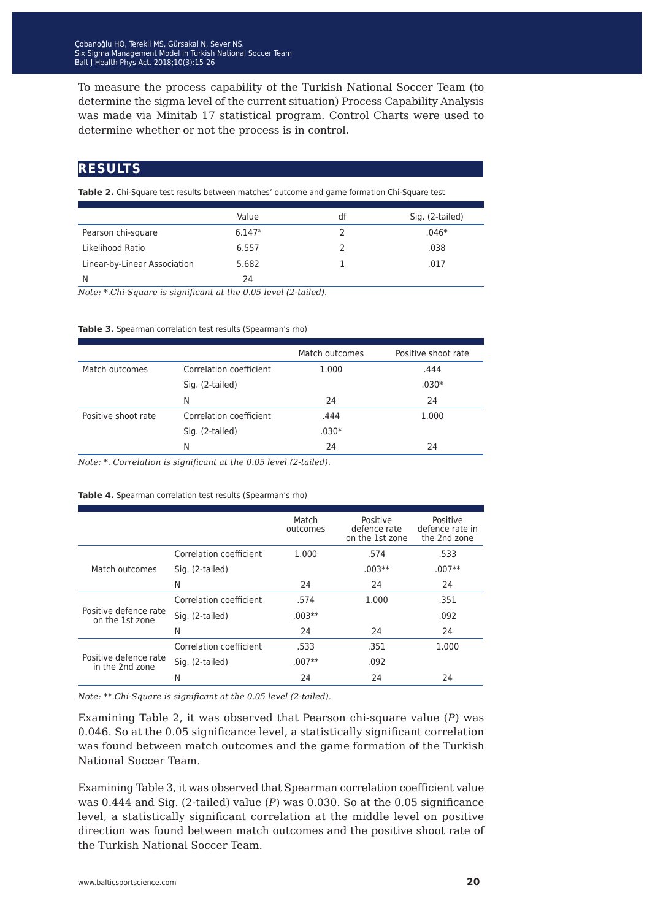To measure the process capability of the Turkish National Soccer Team (to determine the sigma level of the current situation) Process Capability Analysis was made via Minitab 17 statistical program. Control Charts were used to determine whether or not the process is in control.

## **results**

**Table 2.** Chi-Square test results between matches' outcome and game formation Chi-Square test

|                              | Value                | df | Sig. (2-tailed) |
|------------------------------|----------------------|----|-----------------|
| Pearson chi-square           | $6.147$ <sup>a</sup> |    | $.046*$         |
| Likelihood Ratio             | 6.557                |    | .038            |
| Linear-by-Linear Association | 5.682                |    | .017            |
| N                            | 24                   |    |                 |

*Note: \*.Chi-Square is significant at the 0.05 level (2-tailed).*

#### **Table 3.** Spearman correlation test results (Spearman's rho)

|                     |                         | Match outcomes | Positive shoot rate |
|---------------------|-------------------------|----------------|---------------------|
| Match outcomes      | Correlation coefficient | 1.000          | .444                |
|                     | Sig. (2-tailed)         |                | $.030*$             |
|                     | N                       | 24             | 24                  |
| Positive shoot rate | Correlation coefficient | .444           | 1.000               |
|                     | Sig. (2-tailed)         | $.030*$        |                     |
|                     | N                       | 24             | 24                  |
|                     |                         |                |                     |

*Note: \*. Correlation is significant at the 0.05 level (2-tailed).*

#### Table 4. Spearman correlation test results (Spearman's rho)

|                                          |                         | Match<br>outcomes | Positive<br>defence rate<br>on the 1st zone | Positive<br>defence rate in<br>the 2nd zone |
|------------------------------------------|-------------------------|-------------------|---------------------------------------------|---------------------------------------------|
| Match outcomes                           | Correlation coefficient | 1.000             | .574                                        | .533                                        |
|                                          | Sig. (2-tailed)         |                   | $.003**$                                    | $.007**$                                    |
|                                          | N                       | 24                | 24                                          | 24                                          |
| Positive defence rate<br>on the 1st zone | Correlation coefficient | .574              | 1.000                                       | .351                                        |
|                                          | Sig. (2-tailed)         | $.003**$          |                                             | .092                                        |
|                                          | N                       | 24                | 24                                          | 24                                          |
| Positive defence rate<br>in the 2nd zone | Correlation coefficient | .533              | .351                                        | 1.000                                       |
|                                          | Sig. (2-tailed)         | $.007**$          | .092                                        |                                             |
|                                          | N                       | 24                | 24                                          | 24                                          |

*Note: \*\*.Chi-Square is significant at the 0.05 level (2-tailed).*

Examining Table 2, it was observed that Pearson chi-square value (*P*) was 0.046. So at the 0.05 significance level, a statistically significant correlation was found between match outcomes and the game formation of the Turkish National Soccer Team.

Examining Table 3, it was observed that Spearman correlation coefficient value was 0.444 and Sig. (2-tailed) value (*P*) was 0.030. So at the 0.05 significance level, a statistically significant correlation at the middle level on positive direction was found between match outcomes and the positive shoot rate of the Turkish National Soccer Team.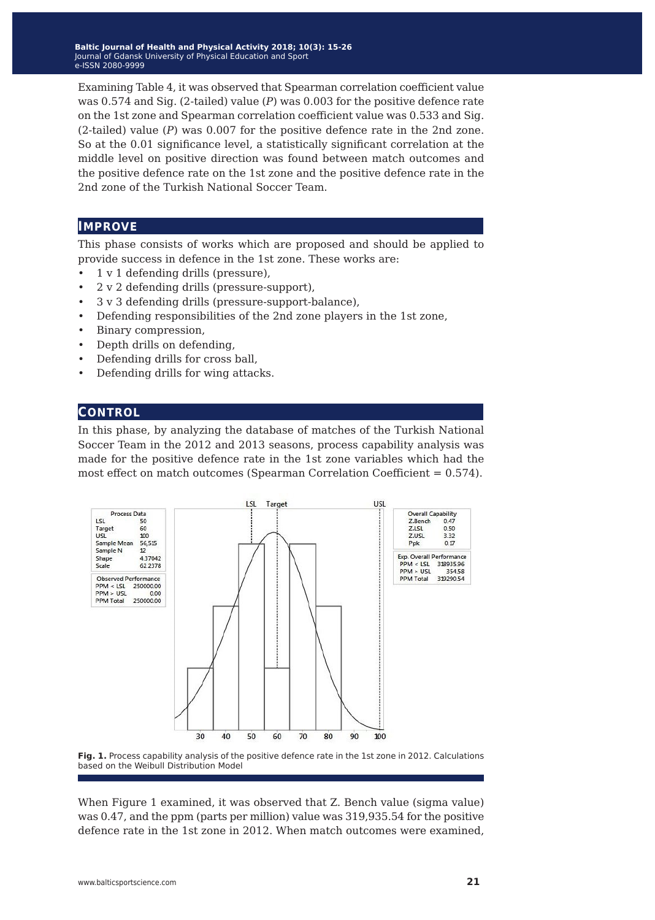**Baltic Journal of Health and Physical Activity 2014; 1(1): 1-4 Baltic Journal of Health and Physical Activity 2018; 10(3): 15-26** Journal of Gdansk University of Physical Education and Sport Journal of Gdansk University of Physical Education and Sport e-ISSN 2080-9999 e-ISSN 2080-9999

Examining Table 4, it was observed that Spearman correlation coefficient value was 0.574 and Sig. (2-tailed) value (*P*) was 0.003 for the positive defence rate on the 1st zone and Spearman correlation coefficient value was 0.533 and Sig. (2-tailed) value (*P*) was 0.007 for the positive defence rate in the 2nd zone. So at the 0.01 significance level, a statistically significant correlation at the middle level on positive direction was found between match outcomes and the positive defence rate on the 1st zone and the positive defence rate in the 2nd zone of the Turkish National Soccer Team.

#### **improve**

This phase consists of works which are proposed and should be applied to provide success in defence in the 1st zone. These works are:

- 1 v 1 defending drills (pressure),
- 2 v 2 defending drills (pressure-support),
- 3 v 3 defending drills (pressure-support-balance),
- Defending responsibilities of the 2nd zone players in the 1st zone,
- Binary compression,
- Depth drills on defending,
- Defending drills for cross ball,
- Defending drills for wing attacks.

#### **control**

In this phase, by analyzing the database of matches of the Turkish National Soccer Team in the 2012 and 2013 seasons, process capability analysis was made for the positive defence rate in the 1st zone variables which had the most effect on match outcomes (Spearman Correlation Coefficient = 0.574).





When Figure 1 examined, it was observed that Z. Bench value (sigma value) was 0.47, and the ppm (parts per million) value was 319,935.54 for the positive defence rate in the 1st zone in 2012. When match outcomes were examined,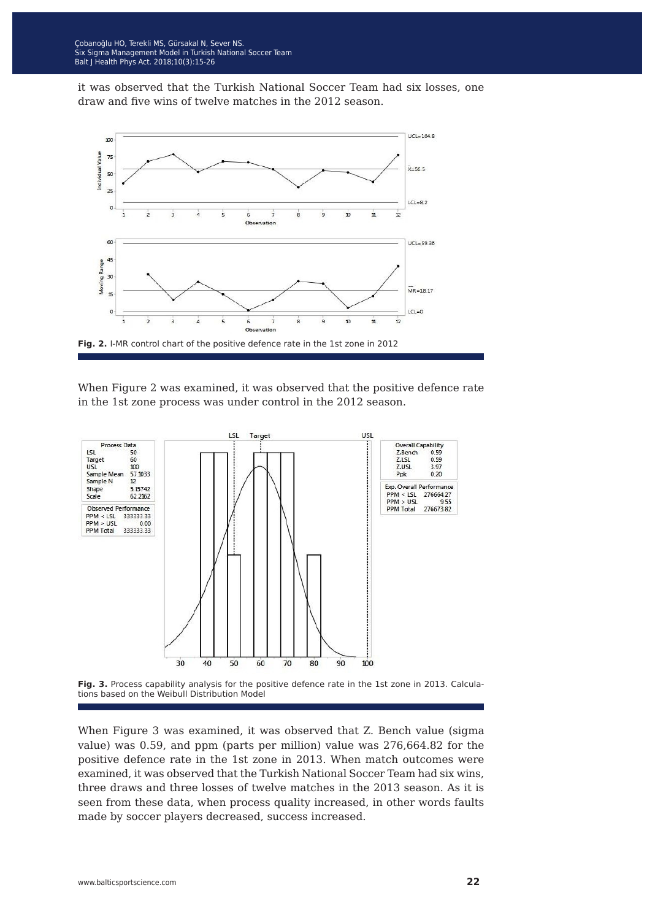it was observed that the Turkish National Soccer Team had six losses, one draw and five wins of twelve matches in the 2012 season.



When Figure 2 was examined, it was observed that the positive defence rate in the 1st zone process was under control in the 2012 season.





When Figure 3 was examined, it was observed that Z. Bench value (sigma value) was 0.59, and ppm (parts per million) value was 276,664.82 for the positive defence rate in the 1st zone in 2013. When match outcomes were examined, it was observed that the Turkish National Soccer Team had six wins, three draws and three losses of twelve matches in the 2013 season. As it is seen from these data, when process quality increased, in other words faults made by soccer players decreased, success increased.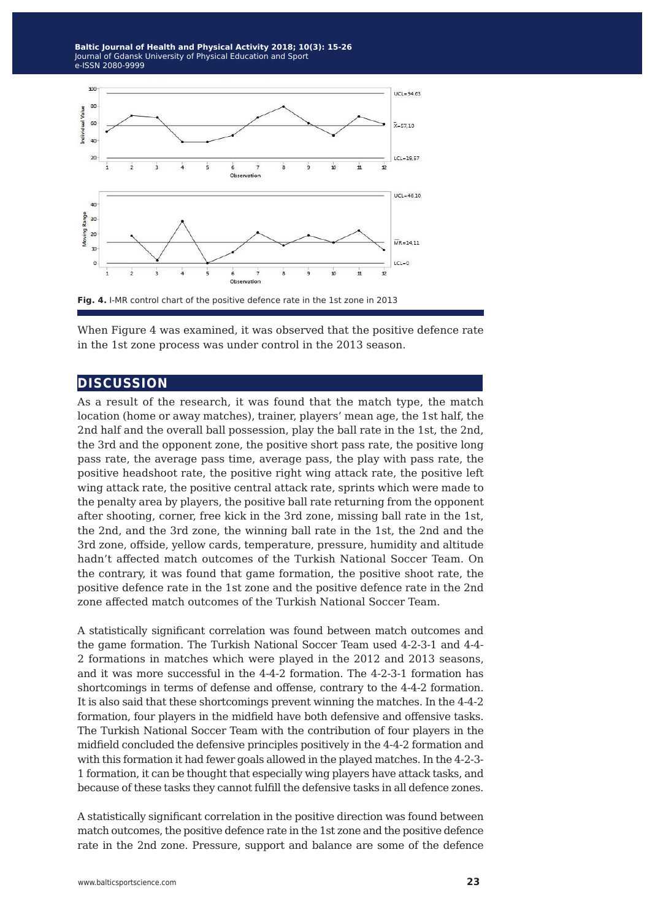**Baltic Journal of Health and Physical Activity 2014; 1(1): 1-4 Baltic Journal of Health and Physical Activity 2018; 10(3): 15-26** Journal of Gdansk University of Physical Education and Sport Journal of Gdansk University of Physical Education and Sport e-ISSN 2080-9999 e-ISSN 2080-9999



**Fig. 4.** I-MR control chart of the positive defence rate in the 1st zone in 2013

When Figure 4 was examined, it was observed that the positive defence rate in the 1st zone process was under control in the 2013 season.

### **discussion**

As a result of the research, it was found that the match type, the match location (home or away matches), trainer, players' mean age, the 1st half, the 2nd half and the overall ball possession, play the ball rate in the 1st, the 2nd, the 3rd and the opponent zone, the positive short pass rate, the positive long pass rate, the average pass time, average pass, the play with pass rate, the positive headshoot rate, the positive right wing attack rate, the positive left wing attack rate, the positive central attack rate, sprints which were made to the penalty area by players, the positive ball rate returning from the opponent after shooting, corner, free kick in the 3rd zone, missing ball rate in the 1st, the 2nd, and the 3rd zone, the winning ball rate in the 1st, the 2nd and the 3rd zone, offside, yellow cards, temperature, pressure, humidity and altitude hadn't affected match outcomes of the Turkish National Soccer Team. On the contrary, it was found that game formation, the positive shoot rate, the positive defence rate in the 1st zone and the positive defence rate in the 2nd zone affected match outcomes of the Turkish National Soccer Team.

A statistically significant correlation was found between match outcomes and the game formation. The Turkish National Soccer Team used 4-2-3-1 and 4-4- 2 formations in matches which were played in the 2012 and 2013 seasons, and it was more successful in the 4-4-2 formation. The 4-2-3-1 formation has shortcomings in terms of defense and offense, contrary to the 4-4-2 formation. It is also said that these shortcomings prevent winning the matches. In the 4-4-2 formation, four players in the midfield have both defensive and offensive tasks. The Turkish National Soccer Team with the contribution of four players in the midfield concluded the defensive principles positively in the 4-4-2 formation and with this formation it had fewer goals allowed in the played matches. In the 4-2-3- 1 formation, it can be thought that especially wing players have attack tasks, and because of these tasks they cannot fulfill the defensive tasks in all defence zones.

A statistically significant correlation in the positive direction was found between match outcomes, the positive defence rate in the 1st zone and the positive defence rate in the 2nd zone. Pressure, support and balance are some of the defence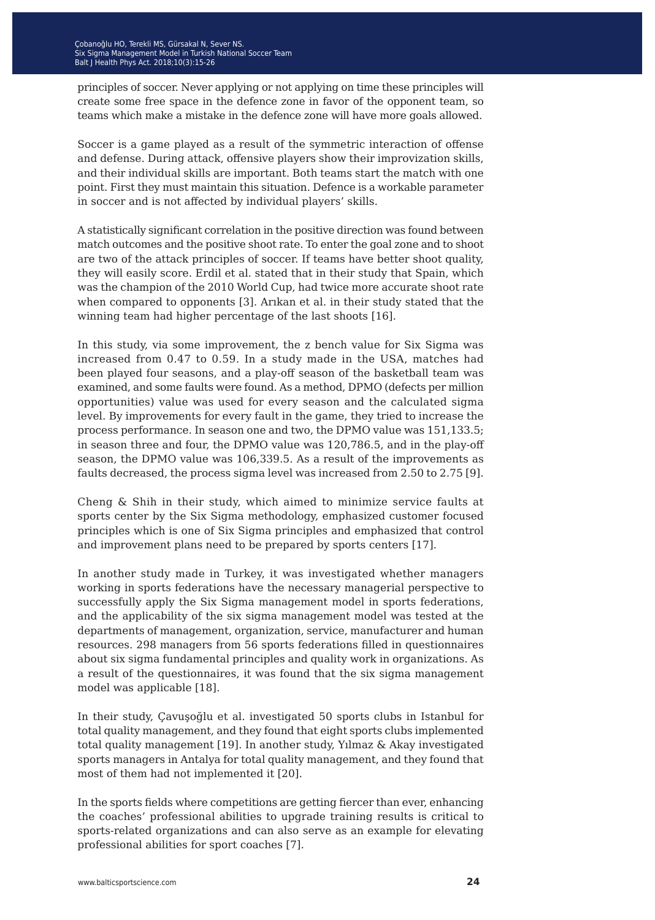principles of soccer. Never applying or not applying on time these principles will create some free space in the defence zone in favor of the opponent team, so teams which make a mistake in the defence zone will have more goals allowed.

Soccer is a game played as a result of the symmetric interaction of offense and defense. During attack, offensive players show their improvization skills, and their individual skills are important. Both teams start the match with one point. First they must maintain this situation. Defence is a workable parameter in soccer and is not affected by individual players' skills.

A statistically significant correlation in the positive direction was found between match outcomes and the positive shoot rate. To enter the goal zone and to shoot are two of the attack principles of soccer. If teams have better shoot quality, they will easily score. Erdil et al. stated that in their study that Spain, which was the champion of the 2010 World Cup, had twice more accurate shoot rate when compared to opponents [3]. Arıkan et al. in their study stated that the winning team had higher percentage of the last shoots [16].

In this study, via some improvement, the z bench value for Six Sigma was increased from 0.47 to 0.59. In a study made in the USA, matches had been played four seasons, and a play-off season of the basketball team was examined, and some faults were found. As a method, DPMO (defects per million opportunities) value was used for every season and the calculated sigma level. By improvements for every fault in the game, they tried to increase the process performance. In season one and two, the DPMO value was 151,133.5; in season three and four, the DPMO value was 120,786.5, and in the play-off season, the DPMO value was 106,339.5. As a result of the improvements as faults decreased, the process sigma level was increased from 2.50 to 2.75 [9].

Cheng & Shih in their study, which aimed to minimize service faults at sports center by the Six Sigma methodology, emphasized customer focused principles which is one of Six Sigma principles and emphasized that control and improvement plans need to be prepared by sports centers [17].

In another study made in Turkey, it was investigated whether managers working in sports federations have the necessary managerial perspective to successfully apply the Six Sigma management model in sports federations, and the applicability of the six sigma management model was tested at the departments of management, organization, service, manufacturer and human resources. 298 managers from 56 sports federations filled in questionnaires about six sigma fundamental principles and quality work in organizations. As a result of the questionnaires, it was found that the six sigma management model was applicable [18].

In their study, Çavuşoğlu et al. investigated 50 sports clubs in Istanbul for total quality management, and they found that eight sports clubs implemented total quality management [19]. In another study, Yılmaz & Akay investigated sports managers in Antalya for total quality management, and they found that most of them had not implemented it [20].

In the sports fields where competitions are getting fiercer than ever, enhancing the coaches' professional abilities to upgrade training results is critical to sports-related organizations and can also serve as an example for elevating professional abilities for sport coaches [7].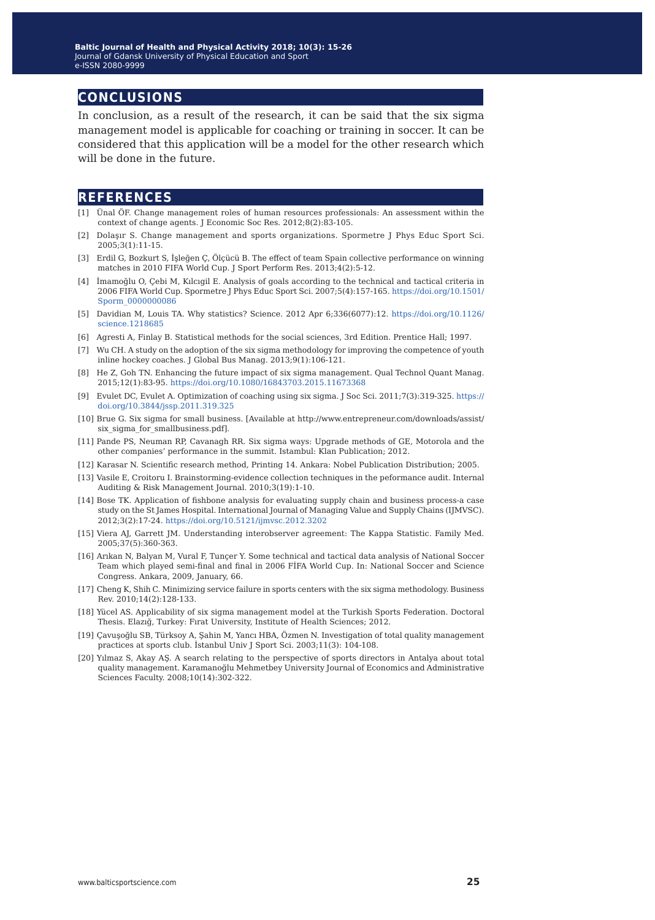## **conclusions**

In conclusion, as a result of the research, it can be said that the six sigma management model is applicable for coaching or training in soccer. It can be considered that this application will be a model for the other research which will be done in the future.

## **references**

- [1] Ünal ÖF. Change management roles of human resources professionals: An assessment within the context of change agents. J Economic Soc Res. 2012;8(2):83-105.
- [2] Dolaşır S. Change management and sports organizations. Spormetre J Phys Educ Sport Sci. 2005;3(1):11-15.
- [3] Erdil G, Bozkurt S, İşleğen Ç, Ölçücü B. The effect of team Spain collective performance on winning matches in 2010 FIFA World Cup. J Sport Perform Res. 2013;4(2):5-12.
- [4] İmamoğlu O, Çebi M, Kılcıgil E. Analysis of goals according to the technical and tactical criteria in 2006 FIFA World Cup. Spormetre J Phys Educ Sport Sci. 2007;5(4):157-165. [https://doi.org/10.1501/](https://doi.org/10.1501/Sporm_0000000086) [Sporm\\_0000000086](https://doi.org/10.1501/Sporm_0000000086)
- [5] Davidian M, Louis TA. Why statistics? Science. 2012 Apr 6;336(6077):12. [https://doi.org/10.1126/](https://doi.org/10.1126/science.1218685) [science.1218685](https://doi.org/10.1126/science.1218685)
- [6] Agresti A, Finlay B. Statistical methods for the social sciences, 3rd Edition. Prentice Hall; 1997.
- [7] Wu CH. A study on the adoption of the six sigma methodology for improving the competence of youth inline hockey coaches. J Global Bus Manag. 2013;9(1):106-121.
- [8] He Z, Goh TN. Enhancing the future impact of six sigma management. Qual Technol Quant Manag. 2015;12(1):83-95. <https://doi.org/10.1080/16843703.2015.11673368>
- [9] Evulet DC, Evulet A. Optimization of coaching using six sigma. J Soc Sci. 2011;7(3):319-325. [https://](https://doi.org/10.3844/jssp.2011.319.325) [doi.org/10.3844/jssp.2011.319.325](https://doi.org/10.3844/jssp.2011.319.325)
- [10] Brue G. Six sigma for small business. [Available at http://www.entrepreneur.com/downloads/assist/ six sigma for smallbusiness.pdf].
- [11] Pande PS, Neuman RP, Cavanagh RR. Six sigma ways: Upgrade methods of GE, Motorola and the other companies' performance in the summit. Istambul: Klan Publication; 2012.
- [12] Karasar N. Scientific research method, Printing 14. Ankara: Nobel Publication Distribution; 2005.
- [13] Vasile E, Croitoru I. Brainstorming-evidence collection techniques in the peformance audit. Internal Auditing & Risk Management Journal. 2010;3(19):1-10.
- [14] Bose TK. Application of fishbone analysis for evaluating supply chain and business process-a case study on the St James Hospital. International Journal of Managing Value and Supply Chains (IJMVSC). 2012;3(2):17-24.<https://doi.org/10.5121/ijmvsc.2012.3202>
- [15] Viera AJ, Garrett JM. Understanding interobserver agreement: The Kappa Statistic. Family Med. 2005;37(5):360-363.
- [16] Arıkan N, Balyan M, Vural F, Tunçer Y. Some technical and tactical data analysis of National Soccer Team which played semi-final and final in 2006 FİFA World Cup. In: National Soccer and Science Congress. Ankara, 2009, January, 66.
- [17] Cheng K, Shih C. Minimizing service failure in sports centers with the six sigma methodology. Business Rev. 2010;14(2):128-133.
- [18] Yücel AS. Applicability of six sigma management model at the Turkish Sports Federation. Doctoral Thesis. Elazığ, Turkey: Fırat University, Institute of Health Sciences; 2012.
- [19] Çavuşoğlu SB, Türksoy A, Şahin M, Yancı HBA, Özmen N. Investigation of total quality management practices at sports club. İstanbul Univ J Sport Sci. 2003;11(3): 104-108.
- [20] Yılmaz S, Akay AŞ. A search relating to the perspective of sports directors in Antalya about total quality management. Karamanoğlu Mehmetbey University Journal of Economics and Administrative Sciences Faculty. 2008;10(14):302-322.